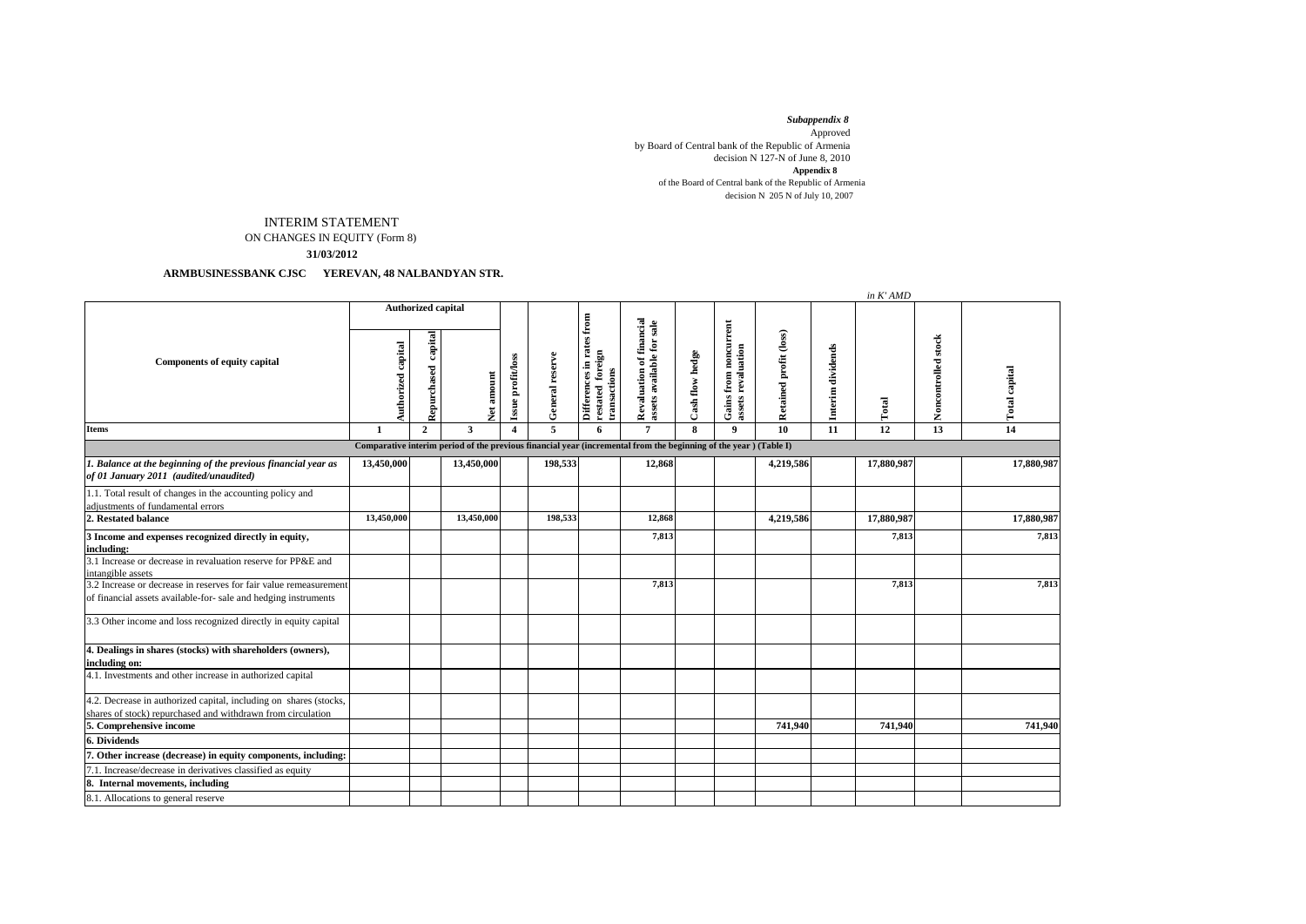*Subappendix 8*  Approved by Board of Central bank of the Republic of Armenia decision N 127-N of June 8, 2010 of the Board of Central bank of the Republic of Armenia decision N 205 N of July 10, 2007 **Appendix 8**

## INTERIM STATEMENT

ON CHANGES IN EQUITY (Form 8)

**31/03/2012**

## **ARMBUSINESSBANK CJSC YEREVAN, 48 NALBANDYAN STR.**

|                                                                                                                                      |                           |                        |             |                         |                 |                                                               |                                                       |                 |                                                    |                        |                      | in K' AMD  |                     |               |
|--------------------------------------------------------------------------------------------------------------------------------------|---------------------------|------------------------|-------------|-------------------------|-----------------|---------------------------------------------------------------|-------------------------------------------------------|-----------------|----------------------------------------------------|------------------------|----------------------|------------|---------------------|---------------|
| Components of equity capital                                                                                                         | <b>Authorized capital</b> |                        |             |                         |                 |                                                               |                                                       |                 |                                                    |                        |                      |            |                     |               |
|                                                                                                                                      | Authorized capital        | capital<br>Repurchased | amount<br>ě | Issue profit/loss       | General reserve | Differences in rates from<br>restated foreign<br>transactions | Revaluation of financial<br>assets available for sale | Cash flow hedge | <b>Gains from noncurrent</b><br>assets revaluation | Retained profit (loss) | dividends<br>Interim | Total      | Noncontrolled stock | Total capital |
| <b>Items</b>                                                                                                                         | 1                         | $\overline{2}$         | 3           | $\overline{\mathbf{4}}$ | 5               | 6                                                             | $\overline{7}$                                        | 8               | 9                                                  | 10                     | 11                   | 12         | 13                  | 14            |
| Comparative interim period of the previous financial year (incremental from the beginning of the year) (Table I)                     |                           |                        |             |                         |                 |                                                               |                                                       |                 |                                                    |                        |                      |            |                     |               |
| 1. Balance at the beginning of the previous financial year as<br>of 01 January 2011 (audited/unaudited)                              | 13,450,000                |                        | 13,450,000  |                         | 198,533         |                                                               | 12,868                                                |                 |                                                    | 4,219,586              |                      | 17,880,987 |                     | 17,880,987    |
| 1.1. Total result of changes in the accounting policy and<br>adjustments of fundamental errors                                       |                           |                        |             |                         |                 |                                                               |                                                       |                 |                                                    |                        |                      |            |                     |               |
| 2. Restated balance                                                                                                                  | 13,450,000                |                        | 13,450,000  |                         | 198,533         |                                                               | 12,868                                                |                 |                                                    | 4,219,586              |                      | 17,880,987 |                     | 17,880,987    |
| 3 Income and expenses recognized directly in equity,<br>including:                                                                   |                           |                        |             |                         |                 |                                                               | 7,813                                                 |                 |                                                    |                        |                      | 7,813      |                     | 7,813         |
| 3.1 Increase or decrease in revaluation reserve for PP&E and<br>intangible assets                                                    |                           |                        |             |                         |                 |                                                               |                                                       |                 |                                                    |                        |                      |            |                     |               |
| 3.2 Increase or decrease in reserves for fair value remeasurement<br>of financial assets available-for- sale and hedging instruments |                           |                        |             |                         |                 |                                                               | 7,813                                                 |                 |                                                    |                        |                      | 7,813      |                     | 7,813         |
| 3.3 Other income and loss recognized directly in equity capital                                                                      |                           |                        |             |                         |                 |                                                               |                                                       |                 |                                                    |                        |                      |            |                     |               |
| 4. Dealings in shares (stocks) with shareholders (owners),<br>including on:                                                          |                           |                        |             |                         |                 |                                                               |                                                       |                 |                                                    |                        |                      |            |                     |               |
| 4.1. Investments and other increase in authorized capital                                                                            |                           |                        |             |                         |                 |                                                               |                                                       |                 |                                                    |                        |                      |            |                     |               |
| 4.2. Decrease in authorized capital, including on shares (stocks,<br>shares of stock) repurchased and withdrawn from circulation     |                           |                        |             |                         |                 |                                                               |                                                       |                 |                                                    |                        |                      |            |                     |               |
| 5. Comprehensive income                                                                                                              |                           |                        |             |                         |                 |                                                               |                                                       |                 |                                                    | 741,940                |                      | 741,940    |                     | 741,940       |
| <b>6. Dividends</b>                                                                                                                  |                           |                        |             |                         |                 |                                                               |                                                       |                 |                                                    |                        |                      |            |                     |               |
| 7. Other increase (decrease) in equity components, including:                                                                        |                           |                        |             |                         |                 |                                                               |                                                       |                 |                                                    |                        |                      |            |                     |               |
| 7.1. Increase/decrease in derivatives classified as equity                                                                           |                           |                        |             |                         |                 |                                                               |                                                       |                 |                                                    |                        |                      |            |                     |               |
| 8. Internal movements, including                                                                                                     |                           |                        |             |                         |                 |                                                               |                                                       |                 |                                                    |                        |                      |            |                     |               |
| 8.1. Allocations to general reserve                                                                                                  |                           |                        |             |                         |                 |                                                               |                                                       |                 |                                                    |                        |                      |            |                     |               |